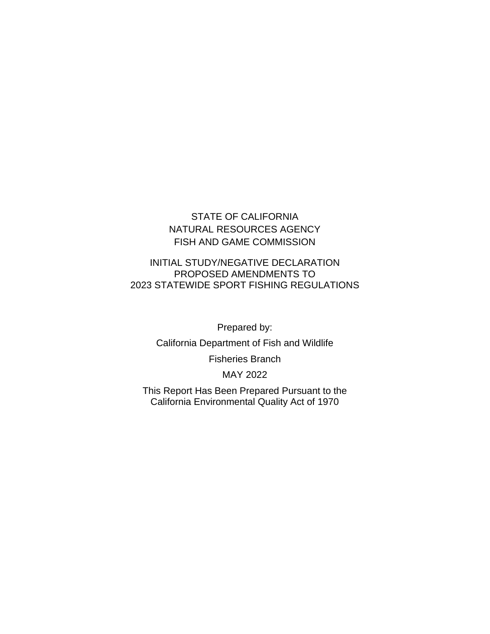# STATE OF CALIFORNIA NATURAL RESOURCES AGENCY FISH AND GAME COMMISSION

#### INITIAL STUDY/NEGATIVE DECLARATION PROPOSED AMENDMENTS TO 2023 STATEWIDE SPORT FISHING REGULATIONS

Prepared by:

California Department of Fish and Wildlife

Fisheries Branch

MAY 2022

This Report Has Been Prepared Pursuant to the California Environmental Quality Act of 1970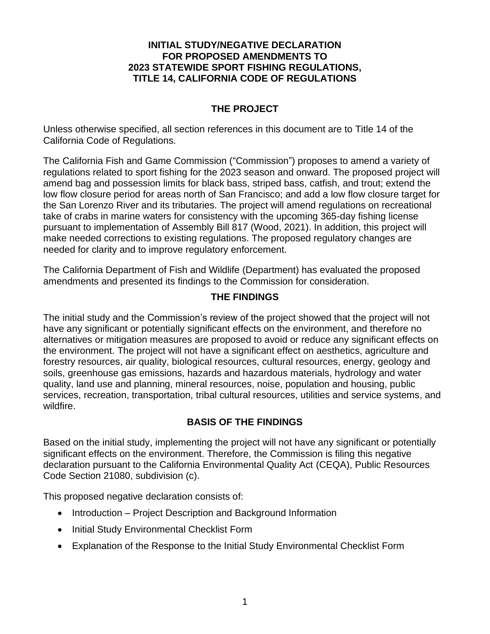### **INITIAL STUDY/NEGATIVE DECLARATION FOR PROPOSED AMENDMENTS TO 2023 STATEWIDE SPORT FISHING REGULATIONS, TITLE 14, CALIFORNIA CODE OF REGULATIONS**

## **THE PROJECT**

Unless otherwise specified, all section references in this document are to Title 14 of the California Code of Regulations.

The California Fish and Game Commission ("Commission") proposes to amend a variety of regulations related to sport fishing for the 2023 season and onward. The proposed project will amend bag and possession limits for black bass, striped bass, catfish, and trout; extend the low flow closure period for areas north of San Francisco; and add a low flow closure target for the San Lorenzo River and its tributaries. The project will amend regulations on recreational take of crabs in marine waters for consistency with the upcoming 365-day fishing license pursuant to implementation of Assembly Bill 817 (Wood, 2021). In addition, this project will make needed corrections to existing regulations. The proposed regulatory changes are needed for clarity and to improve regulatory enforcement.

The California Department of Fish and Wildlife (Department) has evaluated the proposed amendments and presented its findings to the Commission for consideration.

## **THE FINDINGS**

The initial study and the Commission's review of the project showed that the project will not have any significant or potentially significant effects on the environment, and therefore no alternatives or mitigation measures are proposed to avoid or reduce any significant effects on the environment. The project will not have a significant effect on aesthetics, agriculture and forestry resources, air quality, biological resources, cultural resources, energy, geology and soils, greenhouse gas emissions, hazards and hazardous materials, hydrology and water quality, land use and planning, mineral resources, noise, population and housing, public services, recreation, transportation, tribal cultural resources, utilities and service systems, and wildfire.

## **BASIS OF THE FINDINGS**

Based on the initial study, implementing the project will not have any significant or potentially significant effects on the environment. Therefore, the Commission is filing this negative declaration pursuant to the California Environmental Quality Act (CEQA), Public Resources Code Section 21080, subdivision (c).

This proposed negative declaration consists of:

- Introduction Project Description and Background Information
- Initial Study Environmental Checklist Form
- Explanation of the Response to the Initial Study Environmental Checklist Form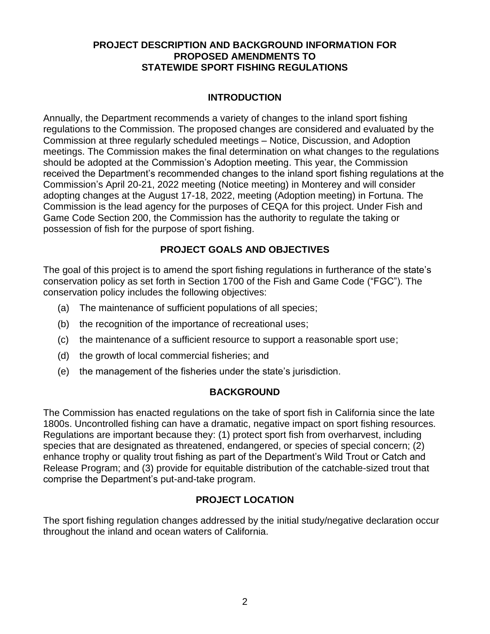## **PROJECT DESCRIPTION AND BACKGROUND INFORMATION FOR PROPOSED AMENDMENTS TO STATEWIDE SPORT FISHING REGULATIONS**

# **INTRODUCTION**

Annually, the Department recommends a variety of changes to the inland sport fishing regulations to the Commission. The proposed changes are considered and evaluated by the Commission at three regularly scheduled meetings – Notice, Discussion, and Adoption meetings. The Commission makes the final determination on what changes to the regulations should be adopted at the Commission's Adoption meeting. This year, the Commission received the Department's recommended changes to the inland sport fishing regulations at the Commission's April 20-21, 2022 meeting (Notice meeting) in Monterey and will consider adopting changes at the August 17-18, 2022, meeting (Adoption meeting) in Fortuna. The Commission is the lead agency for the purposes of CEQA for this project. Under Fish and Game Code Section 200, the Commission has the authority to regulate the taking or possession of fish for the purpose of sport fishing.

## **PROJECT GOALS AND OBJECTIVES**

The goal of this project is to amend the sport fishing regulations in furtherance of the state's conservation policy as set forth in Section 1700 of the Fish and Game Code ("FGC"). The conservation policy includes the following objectives:

- (a) The maintenance of sufficient populations of all species;
- (b) the recognition of the importance of recreational uses;
- (c) the maintenance of a sufficient resource to support a reasonable sport use;
- (d) the growth of local commercial fisheries; and
- (e) the management of the fisheries under the state's jurisdiction.

## **BACKGROUND**

The Commission has enacted regulations on the take of sport fish in California since the late 1800s. Uncontrolled fishing can have a dramatic, negative impact on sport fishing resources. Regulations are important because they: (1) protect sport fish from overharvest, including species that are designated as threatened, endangered, or species of special concern; (2) enhance trophy or quality trout fishing as part of the Department's Wild Trout or Catch and Release Program; and (3) provide for equitable distribution of the catchable-sized trout that comprise the Department's put-and-take program.

# **PROJECT LOCATION**

The sport fishing regulation changes addressed by the initial study/negative declaration occur throughout the inland and ocean waters of California.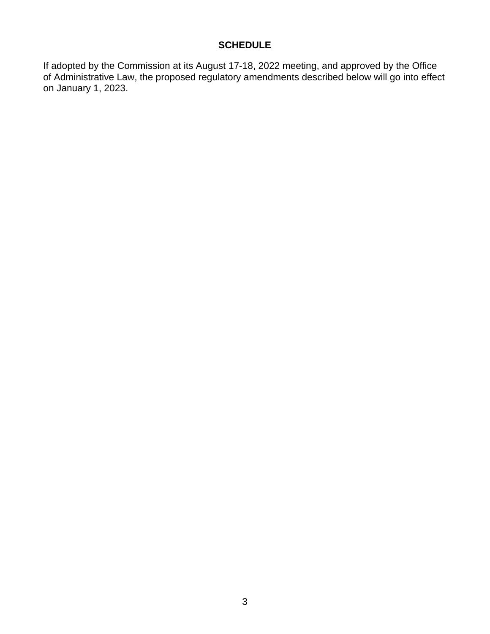## **SCHEDULE**

If adopted by the Commission at its August 17-18, 2022 meeting, and approved by the Office of Administrative Law, the proposed regulatory amendments described below will go into effect on January 1, 2023.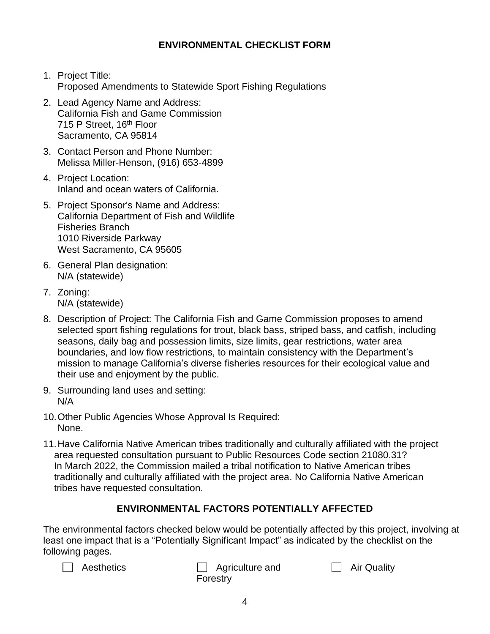# **ENVIRONMENTAL CHECKLIST FORM**

- 1. Project Title: Proposed Amendments to Statewide Sport Fishing Regulations
- 2. Lead Agency Name and Address: California Fish and Game Commission 715 P Street, 16<sup>th</sup> Floor Sacramento, CA 95814
- 3. Contact Person and Phone Number: Melissa Miller-Henson, (916) 653-4899
- 4. Project Location: Inland and ocean waters of California.
- 5. Project Sponsor's Name and Address: California Department of Fish and Wildlife Fisheries Branch 1010 Riverside Parkway West Sacramento, CA 95605
- 6. General Plan designation: N/A (statewide)
- 7. Zoning: N/A (statewide)
- 8. Description of Project: The California Fish and Game Commission proposes to amend selected sport fishing regulations for trout, black bass, striped bass, and catfish, including seasons, daily bag and possession limits, size limits, gear restrictions, water area boundaries, and low flow restrictions, to maintain consistency with the Department's mission to manage California's diverse fisheries resources for their ecological value and their use and enjoyment by the public.
- 9. Surrounding land uses and setting: N/A
- 10.Other Public Agencies Whose Approval Is Required: None.
- 11.Have California Native American tribes traditionally and culturally affiliated with the project area requested consultation pursuant to Public Resources Code section 21080.31? In March 2022, the Commission mailed a tribal notification to Native American tribes traditionally and culturally affiliated with the project area. No California Native American tribes have requested consultation.

# **ENVIRONMENTAL FACTORS POTENTIALLY AFFECTED**

The environmental factors checked below would be potentially affected by this project, involving at least one impact that is a "Potentially Significant Impact" as indicated by the checklist on the following pages.



Aesthetics **Agriculture** and Forestry

□ Air Quality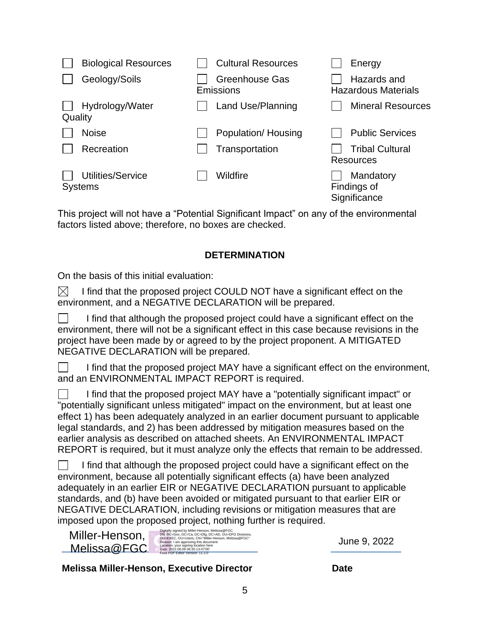| <b>Biological Resources</b>         | <b>Cultural Resources</b>          | Energy                                    |
|-------------------------------------|------------------------------------|-------------------------------------------|
| Geology/Soils                       | <b>Greenhouse Gas</b><br>Emissions | Hazards and<br><b>Hazardous Materials</b> |
| Hydrology/Water<br>Quality          | Land Use/Planning                  | <b>Mineral Resources</b>                  |
| <b>Noise</b>                        | Population/ Housing                | <b>Public Services</b>                    |
| Recreation                          | Transportation                     | <b>Tribal Cultural</b><br>Resources       |
| Utilities/Service<br><b>Systems</b> | Wildfire                           | Mandatory<br>Findings of<br>Significance  |

This project will not have a "Potential Significant Impact" on any of the environmental factors listed above; therefore, no boxes are checked.

## **DETERMINATION**

On the basis of this initial evaluation:

 $\boxtimes$ I find that the proposed project COULD NOT have a significant effect on the environment, and a NEGATIVE DECLARATION will be prepared.

I find that although the proposed project could have a significant effect on the  $\mathbf{L}$ environment, there will not be a significant effect in this case because revisions in the project have been made by or agreed to by the project proponent. A MITIGATED NEGATIVE DECLARATION will be prepared.

| $\Box$ | I find that the proposed project MAY have a significant effect on the environment, |
|--------|------------------------------------------------------------------------------------|
|        | and an ENVIRONMENTAL IMPACT REPORT is required.                                    |

I find that the proposed project MAY have a "potentially significant impact" or "potentially significant unless mitigated" impact on the environment, but at least one effect 1) has been adequately analyzed in an earlier document pursuant to applicable legal standards, and 2) has been addressed by mitigation measures based on the earlier analysis as described on attached sheets. An ENVIRONMENTAL IMPACT REPORT is required, but it must analyze only the effects that remain to be addressed.

 $\Box$ I find that although the proposed project could have a significant effect on the environment, because all potentially significant effects (a) have been analyzed adequately in an earlier EIR or NEGATIVE DECLARATION pursuant to applicable standards, and (b) have been avoided or mitigated pursuant to that earlier EIR or NEGATIVE DECLARATION, including revisions or mitigation measures that are imposed upon the proposed project, nothing further is required.

| Miller-Henson, | Digitally signed by Miller-Henson, Melissa@FGC<br>DN: DC=Gov, DC=Ca, DC=Dfg, DC=AD, OU=DFG Divisions,<br>OU=EXEC, OU=Users, CN="Miller-Henson, Melissa@FGC"<br>Reason: I am approving this document |
|----------------|-----------------------------------------------------------------------------------------------------------------------------------------------------------------------------------------------------|
| Melissa@FGC    | Location: your signing location here<br>Date: 2022.06.09 06:35:13-07'00'<br>Foxit PDF Editor Version: 11.2.0                                                                                        |

June 9, 2022

## **Melissa Miller-Henson, Executive Director Date**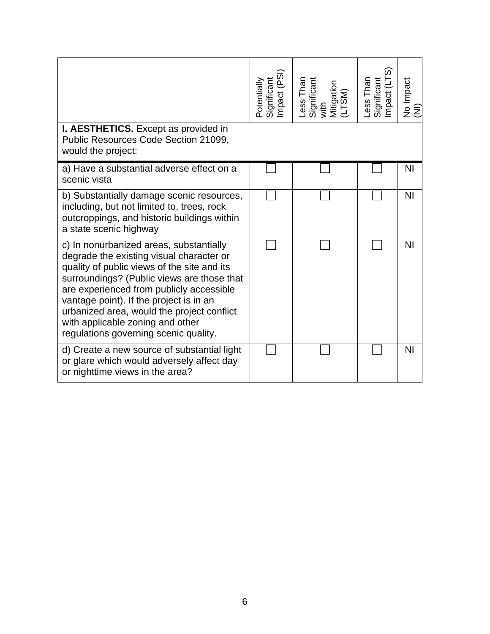|                                                                                                                                                                                                                                                                                                                                                                                                    | Significant<br>Impact (PSI)<br>Potentially | Less Than<br>Significant<br>with<br>Mitigation<br>(LTSM) | Less Than<br>Significant<br>Impact (LTS) | No Impact<br>(NI) |
|----------------------------------------------------------------------------------------------------------------------------------------------------------------------------------------------------------------------------------------------------------------------------------------------------------------------------------------------------------------------------------------------------|--------------------------------------------|----------------------------------------------------------|------------------------------------------|-------------------|
| <b>I. AESTHETICS.</b> Except as provided in<br>Public Resources Code Section 21099,<br>would the project:                                                                                                                                                                                                                                                                                          |                                            |                                                          |                                          |                   |
| a) Have a substantial adverse effect on a<br>scenic vista                                                                                                                                                                                                                                                                                                                                          |                                            |                                                          |                                          | N <sub>l</sub>    |
| b) Substantially damage scenic resources,<br>including, but not limited to, trees, rock<br>outcroppings, and historic buildings within<br>a state scenic highway                                                                                                                                                                                                                                   |                                            |                                                          |                                          | N <sub>l</sub>    |
| c) In nonurbanized areas, substantially<br>degrade the existing visual character or<br>quality of public views of the site and its<br>surroundings? (Public views are those that<br>are experienced from publicly accessible<br>vantage point). If the project is in an<br>urbanized area, would the project conflict<br>with applicable zoning and other<br>regulations governing scenic quality. |                                            |                                                          |                                          | N <sub>l</sub>    |
| d) Create a new source of substantial light<br>or glare which would adversely affect day<br>or nighttime views in the area?                                                                                                                                                                                                                                                                        |                                            |                                                          |                                          | ΝI                |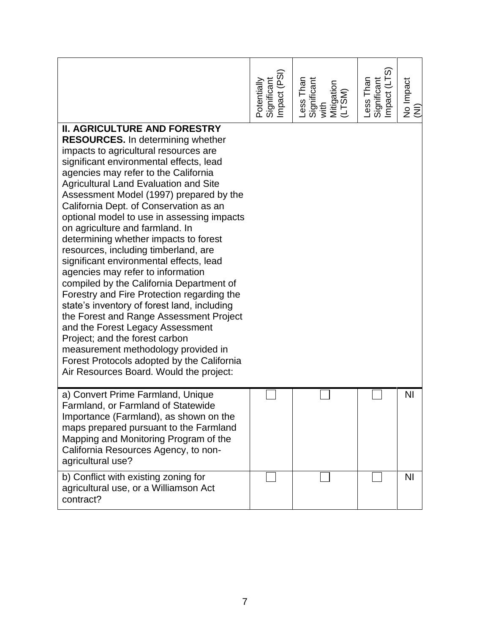|                                                                                                                                                                                                                                                                                                                                                                                                                                                                                                                                                                                                                                                                                                                                                                                                                                                                                                                                                                                              | Significant<br>Impact (PSI)<br>Potentially | Less Than<br>Significant<br>with<br>Mitigation<br>Mitigation | Less Than<br>Significant<br>Impact (LTS) | No Impact<br>(NI) |
|----------------------------------------------------------------------------------------------------------------------------------------------------------------------------------------------------------------------------------------------------------------------------------------------------------------------------------------------------------------------------------------------------------------------------------------------------------------------------------------------------------------------------------------------------------------------------------------------------------------------------------------------------------------------------------------------------------------------------------------------------------------------------------------------------------------------------------------------------------------------------------------------------------------------------------------------------------------------------------------------|--------------------------------------------|--------------------------------------------------------------|------------------------------------------|-------------------|
| <b>II. AGRICULTURE AND FORESTRY</b><br><b>RESOURCES.</b> In determining whether<br>impacts to agricultural resources are<br>significant environmental effects, lead<br>agencies may refer to the California<br><b>Agricultural Land Evaluation and Site</b><br>Assessment Model (1997) prepared by the<br>California Dept. of Conservation as an<br>optional model to use in assessing impacts<br>on agriculture and farmland. In<br>determining whether impacts to forest<br>resources, including timberland, are<br>significant environmental effects, lead<br>agencies may refer to information<br>compiled by the California Department of<br>Forestry and Fire Protection regarding the<br>state's inventory of forest land, including<br>the Forest and Range Assessment Project<br>and the Forest Legacy Assessment<br>Project; and the forest carbon<br>measurement methodology provided in<br>Forest Protocols adopted by the California<br>Air Resources Board. Would the project: |                                            |                                                              |                                          |                   |
| a) Convert Prime Farmland, Unique<br>Farmland, or Farmland of Statewide<br>Importance (Farmland), as shown on the<br>maps prepared pursuant to the Farmland<br>Mapping and Monitoring Program of the<br>California Resources Agency, to non-<br>agricultural use?                                                                                                                                                                                                                                                                                                                                                                                                                                                                                                                                                                                                                                                                                                                            |                                            |                                                              |                                          | <b>NI</b>         |
| b) Conflict with existing zoning for<br>agricultural use, or a Williamson Act<br>contract?                                                                                                                                                                                                                                                                                                                                                                                                                                                                                                                                                                                                                                                                                                                                                                                                                                                                                                   |                                            |                                                              |                                          | <b>NI</b>         |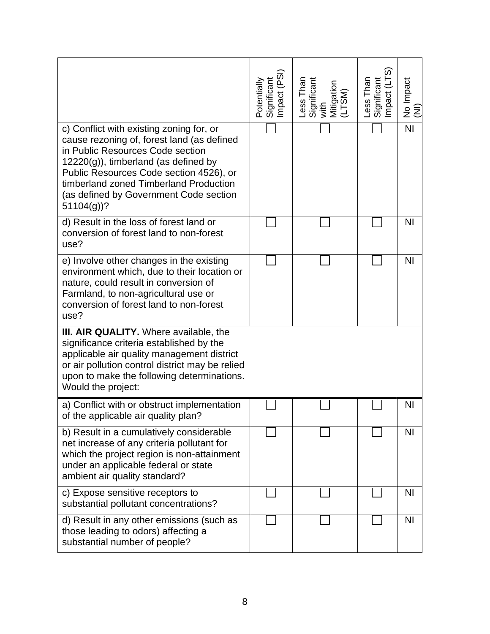|                                                                                                                                                                                                                                                                                                                     | Potentially<br>Significant<br>Impact (PSI) | Less Than<br>Significant<br>with<br>Mitigation<br>(LTSM) | Less Than<br>Significant<br>Impact (LTS) | No Impact<br>(NI) |
|---------------------------------------------------------------------------------------------------------------------------------------------------------------------------------------------------------------------------------------------------------------------------------------------------------------------|--------------------------------------------|----------------------------------------------------------|------------------------------------------|-------------------|
| c) Conflict with existing zoning for, or<br>cause rezoning of, forest land (as defined<br>in Public Resources Code section<br>$12220(g)$ , timberland (as defined by<br>Public Resources Code section 4526), or<br>timberland zoned Timberland Production<br>(as defined by Government Code section<br>$51104(g)$ ? |                                            |                                                          |                                          | $\overline{N}$    |
| d) Result in the loss of forest land or<br>conversion of forest land to non-forest<br>use?                                                                                                                                                                                                                          |                                            |                                                          |                                          | <b>NI</b>         |
| e) Involve other changes in the existing<br>environment which, due to their location or<br>nature, could result in conversion of<br>Farmland, to non-agricultural use or<br>conversion of forest land to non-forest<br>use?                                                                                         |                                            |                                                          |                                          | <b>NI</b>         |
| III. AIR QUALITY. Where available, the<br>significance criteria established by the<br>applicable air quality management district<br>or air pollution control district may be relied<br>upon to make the following determinations.<br>Would the project:                                                             |                                            |                                                          |                                          |                   |
| a) Conflict with or obstruct implementation<br>of the applicable air quality plan?                                                                                                                                                                                                                                  |                                            |                                                          |                                          | NI                |
| b) Result in a cumulatively considerable<br>net increase of any criteria pollutant for<br>which the project region is non-attainment<br>under an applicable federal or state<br>ambient air quality standard?                                                                                                       |                                            |                                                          |                                          | <b>NI</b>         |
| c) Expose sensitive receptors to<br>substantial pollutant concentrations?                                                                                                                                                                                                                                           |                                            |                                                          |                                          | <b>NI</b>         |
| d) Result in any other emissions (such as<br>those leading to odors) affecting a<br>substantial number of people?                                                                                                                                                                                                   |                                            |                                                          |                                          | N <sub>1</sub>    |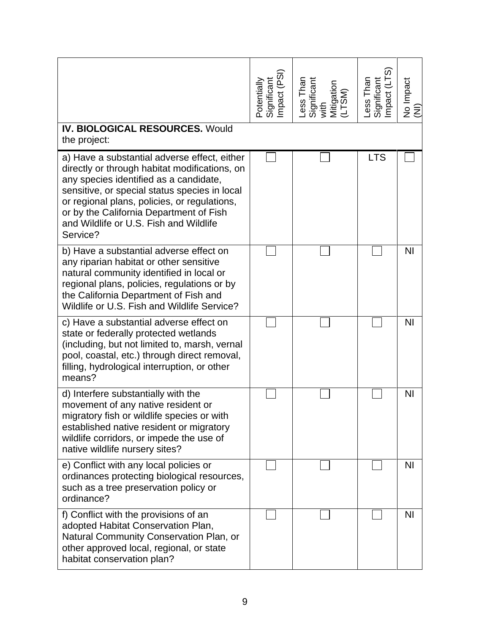| <b>IV. BIOLOGICAL RESOURCES. Would</b>                                                                                                                                                                                                                                                                                                                    | Significant<br>Impact (PSI)<br>Potentially | Less Than<br>Significant<br>with<br>Mitigation<br>(LTSM) | Less Than<br>Significant<br>Impact (LTS) | No Impact<br>(NI) |
|-----------------------------------------------------------------------------------------------------------------------------------------------------------------------------------------------------------------------------------------------------------------------------------------------------------------------------------------------------------|--------------------------------------------|----------------------------------------------------------|------------------------------------------|-------------------|
| the project:<br>a) Have a substantial adverse effect, either<br>directly or through habitat modifications, on<br>any species identified as a candidate,<br>sensitive, or special status species in local<br>or regional plans, policies, or regulations,<br>or by the California Department of Fish<br>and Wildlife or U.S. Fish and Wildlife<br>Service? |                                            |                                                          | <b>LTS</b>                               |                   |
| b) Have a substantial adverse effect on<br>any riparian habitat or other sensitive<br>natural community identified in local or<br>regional plans, policies, regulations or by<br>the California Department of Fish and<br>Wildlife or U.S. Fish and Wildlife Service?                                                                                     |                                            |                                                          |                                          | N <sub>1</sub>    |
| c) Have a substantial adverse effect on<br>state or federally protected wetlands<br>(including, but not limited to, marsh, vernal<br>pool, coastal, etc.) through direct removal,<br>filling, hydrological interruption, or other<br>means?                                                                                                               |                                            |                                                          |                                          | N <sub>1</sub>    |
| d) Interfere substantially with the<br>movement of any native resident or<br>migratory fish or wildlife species or with<br>established native resident or migratory<br>wildlife corridors, or impede the use of<br>native wildlife nursery sites?                                                                                                         |                                            |                                                          |                                          | N <sub>l</sub>    |
| e) Conflict with any local policies or<br>ordinances protecting biological resources,<br>such as a tree preservation policy or<br>ordinance?                                                                                                                                                                                                              |                                            |                                                          |                                          | <b>NI</b>         |
| f) Conflict with the provisions of an<br>adopted Habitat Conservation Plan,<br>Natural Community Conservation Plan, or<br>other approved local, regional, or state<br>habitat conservation plan?                                                                                                                                                          |                                            |                                                          |                                          | <b>NI</b>         |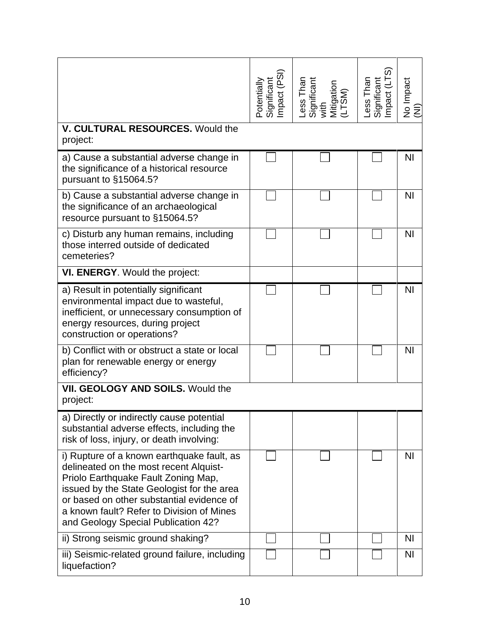| V. CULTURAL RESOURCES. Would the                                                                                                                                                                                                                                                                           | Significant<br>Impact (PSI)<br>Potentially | Less Than<br>Significant<br>with<br>Mitigation<br>(LTSM) | Impact (LTS<br>ess Than<br>Significant | No Impact<br>$\widehat{\Xi}$ |
|------------------------------------------------------------------------------------------------------------------------------------------------------------------------------------------------------------------------------------------------------------------------------------------------------------|--------------------------------------------|----------------------------------------------------------|----------------------------------------|------------------------------|
| project:                                                                                                                                                                                                                                                                                                   |                                            |                                                          |                                        |                              |
| a) Cause a substantial adverse change in<br>the significance of a historical resource<br>pursuant to §15064.5?                                                                                                                                                                                             |                                            |                                                          |                                        | N <sub>1</sub>               |
| b) Cause a substantial adverse change in<br>the significance of an archaeological<br>resource pursuant to §15064.5?                                                                                                                                                                                        |                                            |                                                          |                                        | N <sub>1</sub>               |
| c) Disturb any human remains, including<br>those interred outside of dedicated<br>cemeteries?                                                                                                                                                                                                              |                                            |                                                          |                                        | N <sub>1</sub>               |
| VI. ENERGY. Would the project:                                                                                                                                                                                                                                                                             |                                            |                                                          |                                        |                              |
| a) Result in potentially significant<br>environmental impact due to wasteful,<br>inefficient, or unnecessary consumption of<br>energy resources, during project<br>construction or operations?                                                                                                             |                                            |                                                          |                                        | N <sub>1</sub>               |
| b) Conflict with or obstruct a state or local<br>plan for renewable energy or energy<br>efficiency?                                                                                                                                                                                                        |                                            |                                                          |                                        | N <sub>1</sub>               |
| <b>VII. GEOLOGY AND SOILS. Would the</b><br>project:                                                                                                                                                                                                                                                       |                                            |                                                          |                                        |                              |
| a) Directly or indirectly cause potential<br>substantial adverse effects, including the<br>risk of loss, injury, or death involving:                                                                                                                                                                       |                                            |                                                          |                                        |                              |
| i) Rupture of a known earthquake fault, as<br>delineated on the most recent Alquist-<br>Priolo Earthquake Fault Zoning Map,<br>issued by the State Geologist for the area<br>or based on other substantial evidence of<br>a known fault? Refer to Division of Mines<br>and Geology Special Publication 42? |                                            |                                                          |                                        | ΝI                           |
| ii) Strong seismic ground shaking?                                                                                                                                                                                                                                                                         |                                            |                                                          |                                        | <b>NI</b>                    |
| iii) Seismic-related ground failure, including<br>liquefaction?                                                                                                                                                                                                                                            |                                            |                                                          |                                        | <b>NI</b>                    |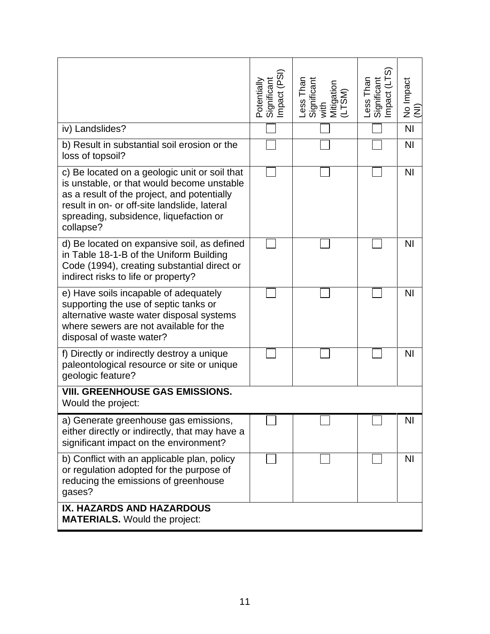|                                                                                                                                                                                                                                                   | Impact (PSI)<br><b>Significant</b><br>Potentially | Less Than<br>Significant<br>with<br>Mitigation<br>(LTSM) | Significant<br>Impact (LTS)<br>Less Than | No Impact<br>Ē |
|---------------------------------------------------------------------------------------------------------------------------------------------------------------------------------------------------------------------------------------------------|---------------------------------------------------|----------------------------------------------------------|------------------------------------------|----------------|
| iv) Landslides?                                                                                                                                                                                                                                   |                                                   |                                                          |                                          | N <sub>l</sub> |
| b) Result in substantial soil erosion or the<br>loss of topsoil?                                                                                                                                                                                  |                                                   |                                                          |                                          | N <sub>1</sub> |
| c) Be located on a geologic unit or soil that<br>is unstable, or that would become unstable<br>as a result of the project, and potentially<br>result in on- or off-site landslide, lateral<br>spreading, subsidence, liquefaction or<br>collapse? |                                                   |                                                          |                                          | N <sub>1</sub> |
| d) Be located on expansive soil, as defined<br>in Table 18-1-B of the Uniform Building<br>Code (1994), creating substantial direct or<br>indirect risks to life or property?                                                                      |                                                   |                                                          |                                          | N <sub>1</sub> |
| e) Have soils incapable of adequately<br>supporting the use of septic tanks or<br>alternative waste water disposal systems<br>where sewers are not available for the<br>disposal of waste water?                                                  |                                                   |                                                          |                                          | N <sub>l</sub> |
| f) Directly or indirectly destroy a unique<br>paleontological resource or site or unique<br>geologic feature?                                                                                                                                     |                                                   |                                                          |                                          | N <sub>l</sub> |
| <b>VIII. GREENHOUSE GAS EMISSIONS.</b><br>Would the project:                                                                                                                                                                                      |                                                   |                                                          |                                          |                |
| a) Generate greenhouse gas emissions,<br>either directly or indirectly, that may have a<br>significant impact on the environment?                                                                                                                 |                                                   |                                                          |                                          | NI             |
| b) Conflict with an applicable plan, policy<br>or regulation adopted for the purpose of<br>reducing the emissions of greenhouse<br>gases?                                                                                                         |                                                   |                                                          |                                          | N <sub>l</sub> |
| IX. HAZARDS AND HAZARDOUS<br><b>MATERIALS.</b> Would the project:                                                                                                                                                                                 |                                                   |                                                          |                                          |                |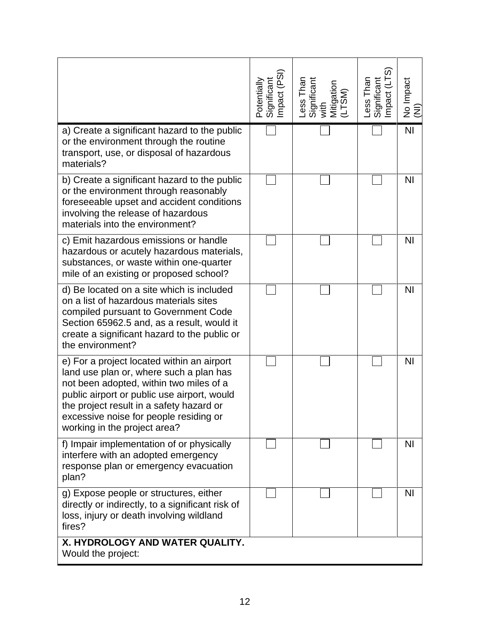|                                                                                                                                                                                                                                                                                                       | Significant<br>Impact (PSI)<br>Potentially | Less Than<br>Significant<br>with<br>Mitigation<br>(LTSM) | Less Than<br>Significant<br>Impact (LTS) | No Impact<br>(NI) |
|-------------------------------------------------------------------------------------------------------------------------------------------------------------------------------------------------------------------------------------------------------------------------------------------------------|--------------------------------------------|----------------------------------------------------------|------------------------------------------|-------------------|
| a) Create a significant hazard to the public<br>or the environment through the routine<br>transport, use, or disposal of hazardous<br>materials?                                                                                                                                                      |                                            |                                                          |                                          | N <sub>l</sub>    |
| b) Create a significant hazard to the public<br>or the environment through reasonably<br>foreseeable upset and accident conditions<br>involving the release of hazardous<br>materials into the environment?                                                                                           |                                            |                                                          |                                          | <b>NI</b>         |
| c) Emit hazardous emissions or handle<br>hazardous or acutely hazardous materials,<br>substances, or waste within one-quarter<br>mile of an existing or proposed school?                                                                                                                              |                                            |                                                          |                                          | N <sub>l</sub>    |
| d) Be located on a site which is included<br>on a list of hazardous materials sites<br>compiled pursuant to Government Code<br>Section 65962.5 and, as a result, would it<br>create a significant hazard to the public or<br>the environment?                                                         |                                            |                                                          |                                          | <b>NI</b>         |
| e) For a project located within an airport<br>land use plan or, where such a plan has<br>not been adopted, within two miles of a<br>public airport or public use airport, would<br>the project result in a safety hazard or<br>excessive noise for people residing or<br>working in the project area? |                                            |                                                          |                                          | N <sub>l</sub>    |
| f) Impair implementation of or physically<br>interfere with an adopted emergency<br>response plan or emergency evacuation<br>plan?                                                                                                                                                                    |                                            |                                                          |                                          | N <sub>1</sub>    |
| g) Expose people or structures, either<br>directly or indirectly, to a significant risk of<br>loss, injury or death involving wildland<br>fires?                                                                                                                                                      |                                            |                                                          |                                          | <b>NI</b>         |
| X. HYDROLOGY AND WATER QUALITY.<br>Would the project:                                                                                                                                                                                                                                                 |                                            |                                                          |                                          |                   |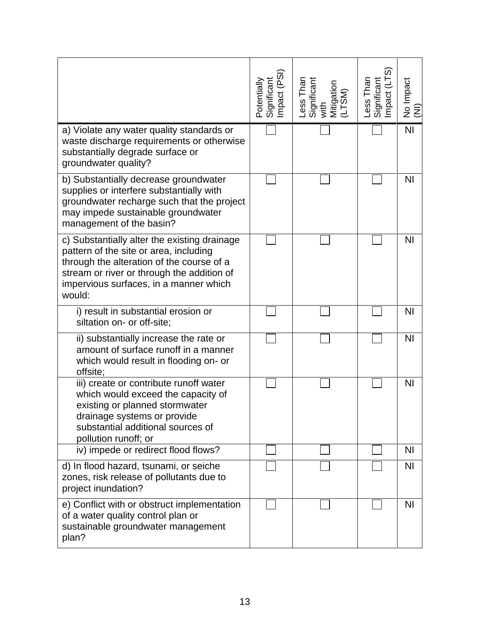|                                                                                                                                                                                                                                       | Potentially<br>Significant<br>Impact (PSI) | Less Than<br>Significant<br>with<br>Mitigation<br>(LTSM) | Less Than<br>Significant<br>Impact (LTS) | No Impact<br>(NI) |
|---------------------------------------------------------------------------------------------------------------------------------------------------------------------------------------------------------------------------------------|--------------------------------------------|----------------------------------------------------------|------------------------------------------|-------------------|
| a) Violate any water quality standards or<br>waste discharge requirements or otherwise<br>substantially degrade surface or<br>groundwater quality?                                                                                    |                                            |                                                          |                                          | N <sub>l</sub>    |
| b) Substantially decrease groundwater<br>supplies or interfere substantially with<br>groundwater recharge such that the project<br>may impede sustainable groundwater<br>management of the basin?                                     |                                            |                                                          |                                          | <b>NI</b>         |
| c) Substantially alter the existing drainage<br>pattern of the site or area, including<br>through the alteration of the course of a<br>stream or river or through the addition of<br>impervious surfaces, in a manner which<br>would: |                                            |                                                          |                                          | N <sub>l</sub>    |
| i) result in substantial erosion or<br>siltation on- or off-site;                                                                                                                                                                     |                                            |                                                          |                                          | N <sub>l</sub>    |
| ii) substantially increase the rate or<br>amount of surface runoff in a manner<br>which would result in flooding on- or<br>offsite;                                                                                                   |                                            |                                                          |                                          | N <sub>l</sub>    |
| iii) create or contribute runoff water<br>which would exceed the capacity of<br>existing or planned stormwater<br>drainage systems or provide<br>substantial additional sources of<br>pollution runoff; or                            |                                            |                                                          |                                          | N <sub>l</sub>    |
| iv) impede or redirect flood flows?                                                                                                                                                                                                   |                                            |                                                          |                                          | <b>NI</b>         |
| d) In flood hazard, tsunami, or seiche<br>zones, risk release of pollutants due to<br>project inundation?                                                                                                                             |                                            |                                                          |                                          | N <sub>1</sub>    |
| e) Conflict with or obstruct implementation<br>of a water quality control plan or<br>sustainable groundwater management<br>plan?                                                                                                      |                                            |                                                          |                                          | <b>NI</b>         |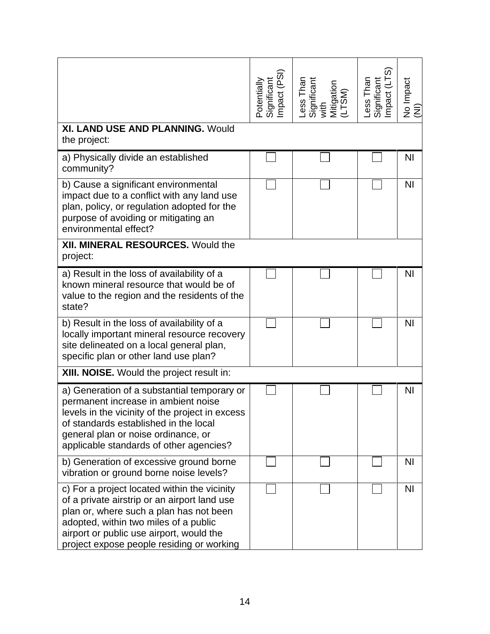|                                                                                                                                                                                                                                                                           | Significant<br>Impact (PSI)<br>Potentially | Less Than<br>Significant<br>with<br>Mitigation<br>(LTSM) | Less Than<br>Significant<br>Impact (LTS) | No Impact<br>(NI) |
|---------------------------------------------------------------------------------------------------------------------------------------------------------------------------------------------------------------------------------------------------------------------------|--------------------------------------------|----------------------------------------------------------|------------------------------------------|-------------------|
| <b>XI. LAND USE AND PLANNING. Would</b><br>the project:                                                                                                                                                                                                                   |                                            |                                                          |                                          |                   |
| a) Physically divide an established<br>community?                                                                                                                                                                                                                         |                                            |                                                          |                                          | <b>NI</b>         |
| b) Cause a significant environmental<br>impact due to a conflict with any land use<br>plan, policy, or regulation adopted for the<br>purpose of avoiding or mitigating an<br>environmental effect?                                                                        |                                            |                                                          |                                          | <b>NI</b>         |
| <b>XII. MINERAL RESOURCES. Would the</b><br>project:                                                                                                                                                                                                                      |                                            |                                                          |                                          |                   |
| a) Result in the loss of availability of a<br>known mineral resource that would be of<br>value to the region and the residents of the<br>state?                                                                                                                           |                                            |                                                          |                                          | <b>NI</b>         |
| b) Result in the loss of availability of a<br>locally important mineral resource recovery<br>site delineated on a local general plan,<br>specific plan or other land use plan?                                                                                            |                                            |                                                          |                                          | N <sub>1</sub>    |
| <b>XIII. NOISE.</b> Would the project result in:                                                                                                                                                                                                                          |                                            |                                                          |                                          |                   |
| a) Generation of a substantial temporary or<br>permanent increase in ambient noise<br>levels in the vicinity of the project in excess<br>of standards established in the local<br>general plan or noise ordinance, or<br>applicable standards of other agencies?          |                                            |                                                          |                                          | <b>NI</b>         |
| b) Generation of excessive ground borne<br>vibration or ground borne noise levels?                                                                                                                                                                                        |                                            |                                                          |                                          | <b>NI</b>         |
| c) For a project located within the vicinity<br>of a private airstrip or an airport land use<br>plan or, where such a plan has not been<br>adopted, within two miles of a public<br>airport or public use airport, would the<br>project expose people residing or working |                                            |                                                          |                                          | N <sub>1</sub>    |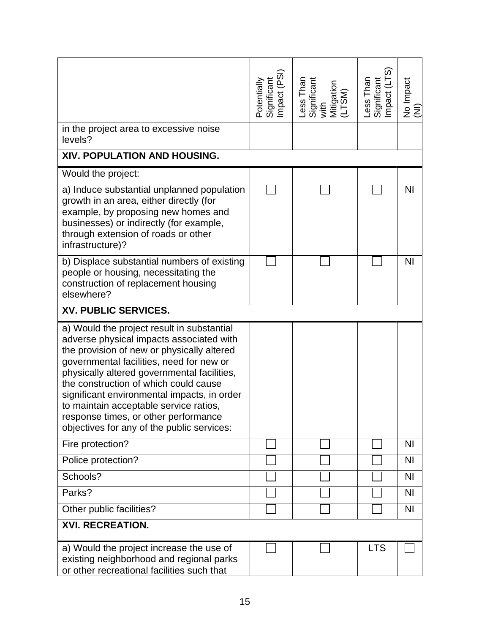|                                                                                                                                                                                                                                                                                                                                                                                                                                                         | Significant<br>Impact (PSI)<br>Potentially | Less Than<br>Significant<br>with<br>Mitigation<br>(LTSM) | Significant<br>Impact (LTS)<br>Less Than | No Impact<br>(NI) |
|---------------------------------------------------------------------------------------------------------------------------------------------------------------------------------------------------------------------------------------------------------------------------------------------------------------------------------------------------------------------------------------------------------------------------------------------------------|--------------------------------------------|----------------------------------------------------------|------------------------------------------|-------------------|
| in the project area to excessive noise<br>levels?                                                                                                                                                                                                                                                                                                                                                                                                       |                                            |                                                          |                                          |                   |
| XIV. POPULATION AND HOUSING.                                                                                                                                                                                                                                                                                                                                                                                                                            |                                            |                                                          |                                          |                   |
| Would the project:                                                                                                                                                                                                                                                                                                                                                                                                                                      |                                            |                                                          |                                          |                   |
| a) Induce substantial unplanned population<br>growth in an area, either directly (for<br>example, by proposing new homes and<br>businesses) or indirectly (for example,<br>through extension of roads or other<br>infrastructure)?                                                                                                                                                                                                                      |                                            |                                                          |                                          | N <sub>l</sub>    |
| b) Displace substantial numbers of existing<br>people or housing, necessitating the<br>construction of replacement housing<br>elsewhere?                                                                                                                                                                                                                                                                                                                |                                            |                                                          |                                          | N <sub>l</sub>    |
| XV. PUBLIC SERVICES.                                                                                                                                                                                                                                                                                                                                                                                                                                    |                                            |                                                          |                                          |                   |
| a) Would the project result in substantial<br>adverse physical impacts associated with<br>the provision of new or physically altered<br>governmental facilities, need for new or<br>physically altered governmental facilities,<br>the construction of which could cause<br>significant environmental impacts, in order<br>to maintain acceptable service ratios,<br>response times, or other performance<br>objectives for any of the public services: |                                            |                                                          |                                          |                   |
| Fire protection?                                                                                                                                                                                                                                                                                                                                                                                                                                        |                                            |                                                          |                                          | N <sub>l</sub>    |
| Police protection?                                                                                                                                                                                                                                                                                                                                                                                                                                      |                                            |                                                          |                                          | N <sub>l</sub>    |
| Schools?                                                                                                                                                                                                                                                                                                                                                                                                                                                |                                            |                                                          |                                          | N <sub>1</sub>    |
| Parks?                                                                                                                                                                                                                                                                                                                                                                                                                                                  |                                            |                                                          |                                          | N <sub>1</sub>    |
| Other public facilities?                                                                                                                                                                                                                                                                                                                                                                                                                                |                                            |                                                          |                                          | <b>NI</b>         |
| <b>XVI. RECREATION.</b>                                                                                                                                                                                                                                                                                                                                                                                                                                 |                                            |                                                          |                                          |                   |
| a) Would the project increase the use of<br>existing neighborhood and regional parks<br>or other recreational facilities such that                                                                                                                                                                                                                                                                                                                      |                                            |                                                          | <b>LTS</b>                               |                   |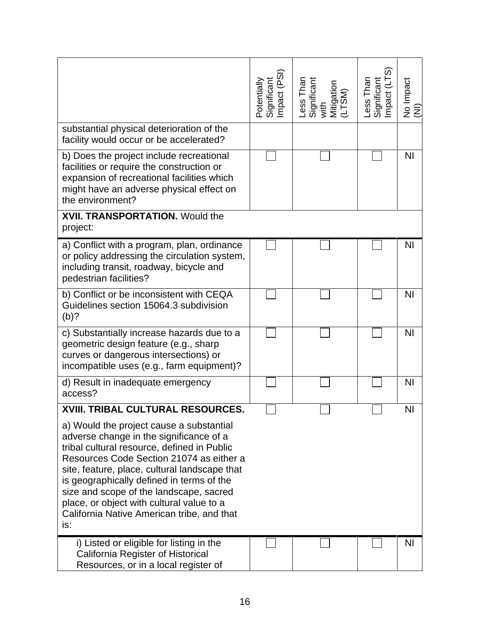|                                                                                                                                                                                                                                                                                                                                                                                                                           | Significant<br>Impact (PSI)<br>Potentially | Less Than<br>Significant<br>with<br>Mitigation<br>(LTSM) | Significant<br>Impact (LTS)<br>Less Than | No Impact<br>(NI) |
|---------------------------------------------------------------------------------------------------------------------------------------------------------------------------------------------------------------------------------------------------------------------------------------------------------------------------------------------------------------------------------------------------------------------------|--------------------------------------------|----------------------------------------------------------|------------------------------------------|-------------------|
| substantial physical deterioration of the<br>facility would occur or be accelerated?                                                                                                                                                                                                                                                                                                                                      |                                            |                                                          |                                          |                   |
| b) Does the project include recreational<br>facilities or require the construction or<br>expansion of recreational facilities which<br>might have an adverse physical effect on<br>the environment?                                                                                                                                                                                                                       |                                            |                                                          |                                          | N <sub>l</sub>    |
| <b>XVII. TRANSPORTATION.</b> Would the<br>project:                                                                                                                                                                                                                                                                                                                                                                        |                                            |                                                          |                                          |                   |
| a) Conflict with a program, plan, ordinance<br>or policy addressing the circulation system,<br>including transit, roadway, bicycle and<br>pedestrian facilities?                                                                                                                                                                                                                                                          |                                            |                                                          |                                          | <b>NI</b>         |
| b) Conflict or be inconsistent with CEQA<br>Guidelines section 15064.3 subdivision<br>$(b)$ ?                                                                                                                                                                                                                                                                                                                             |                                            |                                                          |                                          | N <sub>l</sub>    |
| c) Substantially increase hazards due to a<br>geometric design feature (e.g., sharp<br>curves or dangerous intersections) or<br>incompatible uses (e.g., farm equipment)?                                                                                                                                                                                                                                                 |                                            |                                                          |                                          | N <sub>l</sub>    |
| d) Result in inadequate emergency<br>access?                                                                                                                                                                                                                                                                                                                                                                              |                                            |                                                          |                                          | N <sub>l</sub>    |
| XVIII. TRIBAL CULTURAL RESOURCES.                                                                                                                                                                                                                                                                                                                                                                                         |                                            |                                                          |                                          | N <sub>l</sub>    |
| a) Would the project cause a substantial<br>adverse change in the significance of a<br>tribal cultural resource, defined in Public<br>Resources Code Section 21074 as either a<br>site, feature, place, cultural landscape that<br>is geographically defined in terms of the<br>size and scope of the landscape, sacred<br>place, or object with cultural value to a<br>California Native American tribe, and that<br>is: |                                            |                                                          |                                          |                   |
| i) Listed or eligible for listing in the<br>California Register of Historical<br>Resources, or in a local register of                                                                                                                                                                                                                                                                                                     |                                            |                                                          |                                          | ΝI                |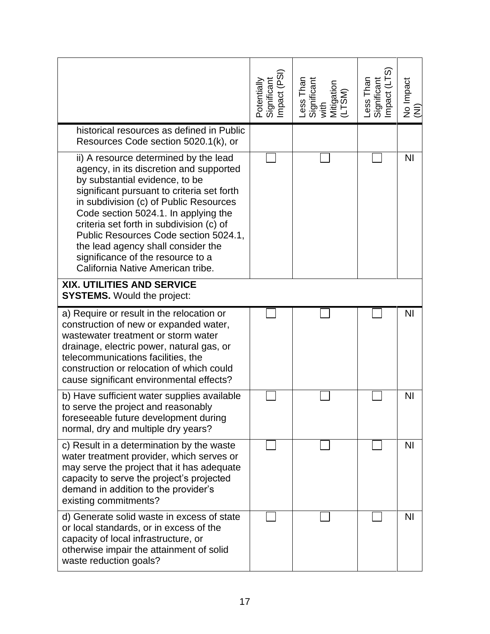|                                                                                                                                                                                                                                                                                                                                                                                                                                                         | Potentially<br>Significant<br>Impact (PSI) | Less Than<br>Significant<br>with<br>Mitigation<br>(LTSM) | Less Than<br>Significant<br>Impact (LTS) | No Impact<br>(NI) |
|---------------------------------------------------------------------------------------------------------------------------------------------------------------------------------------------------------------------------------------------------------------------------------------------------------------------------------------------------------------------------------------------------------------------------------------------------------|--------------------------------------------|----------------------------------------------------------|------------------------------------------|-------------------|
| historical resources as defined in Public<br>Resources Code section 5020.1(k), or                                                                                                                                                                                                                                                                                                                                                                       |                                            |                                                          |                                          |                   |
| ii) A resource determined by the lead<br>agency, in its discretion and supported<br>by substantial evidence, to be<br>significant pursuant to criteria set forth<br>in subdivision (c) of Public Resources<br>Code section 5024.1. In applying the<br>criteria set forth in subdivision (c) of<br>Public Resources Code section 5024.1,<br>the lead agency shall consider the<br>significance of the resource to a<br>California Native American tribe. |                                            |                                                          |                                          | <b>NI</b>         |
| XIX. UTILITIES AND SERVICE<br><b>SYSTEMS.</b> Would the project:                                                                                                                                                                                                                                                                                                                                                                                        |                                            |                                                          |                                          |                   |
| a) Require or result in the relocation or<br>construction of new or expanded water,<br>wastewater treatment or storm water<br>drainage, electric power, natural gas, or<br>telecommunications facilities, the<br>construction or relocation of which could<br>cause significant environmental effects?                                                                                                                                                  |                                            |                                                          |                                          | <b>NI</b>         |
| b) Have sufficient water supplies available<br>to serve the project and reasonably<br>foreseeable future development during<br>normal, dry and multiple dry years?                                                                                                                                                                                                                                                                                      |                                            |                                                          |                                          | <b>NI</b>         |
| c) Result in a determination by the waste<br>water treatment provider, which serves or<br>may serve the project that it has adequate<br>capacity to serve the project's projected<br>demand in addition to the provider's<br>existing commitments?                                                                                                                                                                                                      |                                            |                                                          |                                          | N <sub>l</sub>    |
| d) Generate solid waste in excess of state<br>or local standards, or in excess of the<br>capacity of local infrastructure, or<br>otherwise impair the attainment of solid<br>waste reduction goals?                                                                                                                                                                                                                                                     |                                            |                                                          |                                          | N <sub>l</sub>    |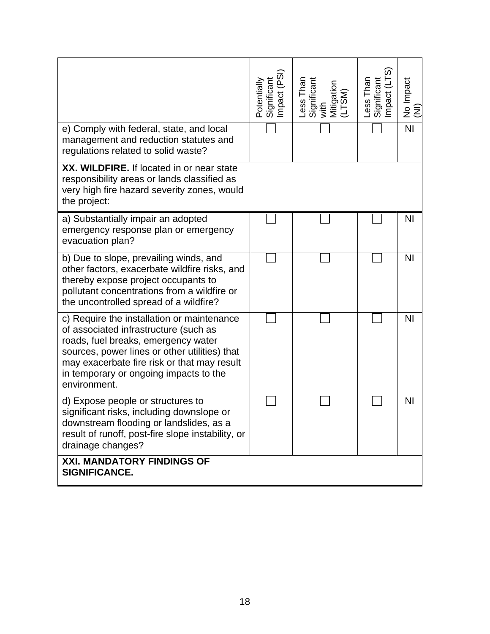|                                                                                                                                                                                                                                                                                      | Potentially<br>Significant<br>Impact (PSI) | Less Than<br>Significant<br>with<br>Mitigation<br>Mitigation | Less Than<br>Significant<br>Impact (LTS) | No Impact<br>(NI) |
|--------------------------------------------------------------------------------------------------------------------------------------------------------------------------------------------------------------------------------------------------------------------------------------|--------------------------------------------|--------------------------------------------------------------|------------------------------------------|-------------------|
| e) Comply with federal, state, and local<br>management and reduction statutes and<br>regulations related to solid waste?                                                                                                                                                             |                                            |                                                              |                                          | $\overline{N}$    |
| XX. WILDFIRE. If located in or near state<br>responsibility areas or lands classified as<br>very high fire hazard severity zones, would<br>the project:                                                                                                                              |                                            |                                                              |                                          |                   |
| a) Substantially impair an adopted<br>emergency response plan or emergency<br>evacuation plan?                                                                                                                                                                                       |                                            |                                                              |                                          | <b>NI</b>         |
| b) Due to slope, prevailing winds, and<br>other factors, exacerbate wildfire risks, and<br>thereby expose project occupants to<br>pollutant concentrations from a wildfire or<br>the uncontrolled spread of a wildfire?                                                              |                                            |                                                              |                                          | N <sub>l</sub>    |
| c) Require the installation or maintenance<br>of associated infrastructure (such as<br>roads, fuel breaks, emergency water<br>sources, power lines or other utilities) that<br>may exacerbate fire risk or that may result<br>in temporary or ongoing impacts to the<br>environment. |                                            |                                                              |                                          | <b>NI</b>         |
| d) Expose people or structures to<br>significant risks, including downslope or<br>downstream flooding or landslides, as a<br>result of runoff, post-fire slope instability, or<br>drainage changes?                                                                                  |                                            |                                                              |                                          | NI                |
| <b>XXI. MANDATORY FINDINGS OF</b><br><b>SIGNIFICANCE.</b>                                                                                                                                                                                                                            |                                            |                                                              |                                          |                   |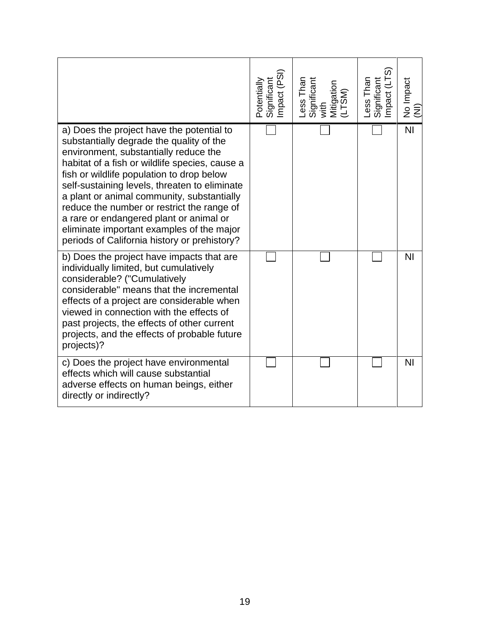|                                                                                                                                                                                                                                                                                                                                                                                                                                                                                                                    | Significant<br>Impact (PSI)<br>Potentially | Less Than<br>Significant<br>with<br>Mitigation<br>Mitigation | Less Than<br>Significant<br>Impact (LTS) | No Impact<br>(NI) |
|--------------------------------------------------------------------------------------------------------------------------------------------------------------------------------------------------------------------------------------------------------------------------------------------------------------------------------------------------------------------------------------------------------------------------------------------------------------------------------------------------------------------|--------------------------------------------|--------------------------------------------------------------|------------------------------------------|-------------------|
| a) Does the project have the potential to<br>substantially degrade the quality of the<br>environment, substantially reduce the<br>habitat of a fish or wildlife species, cause a<br>fish or wildlife population to drop below<br>self-sustaining levels, threaten to eliminate<br>a plant or animal community, substantially<br>reduce the number or restrict the range of<br>a rare or endangered plant or animal or<br>eliminate important examples of the major<br>periods of California history or prehistory? |                                            |                                                              |                                          | N <sub>l</sub>    |
| b) Does the project have impacts that are<br>individually limited, but cumulatively<br>considerable? ("Cumulatively<br>considerable" means that the incremental<br>effects of a project are considerable when<br>viewed in connection with the effects of<br>past projects, the effects of other current<br>projects, and the effects of probable future<br>projects)?                                                                                                                                             |                                            |                                                              |                                          | <b>NI</b>         |
| c) Does the project have environmental<br>effects which will cause substantial<br>adverse effects on human beings, either<br>directly or indirectly?                                                                                                                                                                                                                                                                                                                                                               |                                            |                                                              |                                          | N <sub>l</sub>    |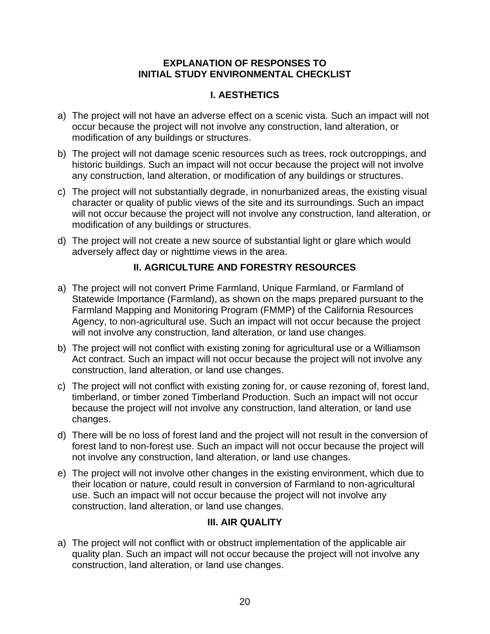### **EXPLANATION OF RESPONSES TO INITIAL STUDY ENVIRONMENTAL CHECKLIST**

# **I. AESTHETICS**

- a) The project will not have an adverse effect on a scenic vista. Such an impact will not occur because the project will not involve any construction, land alteration, or modification of any buildings or structures.
- b) The project will not damage scenic resources such as trees, rock outcroppings, and historic buildings. Such an impact will not occur because the project will not involve any construction, land alteration, or modification of any buildings or structures.
- c) The project will not substantially degrade, in nonurbanized areas, the existing visual character or quality of public views of the site and its surroundings. Such an impact will not occur because the project will not involve any construction, land alteration, or modification of any buildings or structures.
- d) The project will not create a new source of substantial light or glare which would adversely affect day or nighttime views in the area.

# **II. AGRICULTURE AND FORESTRY RESOURCES**

- a) The project will not convert Prime Farmland, Unique Farmland, or Farmland of Statewide Importance (Farmland), as shown on the maps prepared pursuant to the Farmland Mapping and Monitoring Program (FMMP) of the California Resources Agency, to non-agricultural use. Such an impact will not occur because the project will not involve any construction, land alteration, or land use changes.
- b) The project will not conflict with existing zoning for agricultural use or a Williamson Act contract. Such an impact will not occur because the project will not involve any construction, land alteration, or land use changes.
- c) The project will not conflict with existing zoning for, or cause rezoning of, forest land, timberland, or timber zoned Timberland Production. Such an impact will not occur because the project will not involve any construction, land alteration, or land use changes.
- d) There will be no loss of forest land and the project will not result in the conversion of forest land to non-forest use. Such an impact will not occur because the project will not involve any construction, land alteration, or land use changes.
- e) The project will not involve other changes in the existing environment, which due to their location or nature, could result in conversion of Farmland to non-agricultural use. Such an impact will not occur because the project will not involve any construction, land alteration, or land use changes.

## **III. AIR QUALITY**

a) The project will not conflict with or obstruct implementation of the applicable air quality plan. Such an impact will not occur because the project will not involve any construction, land alteration, or land use changes.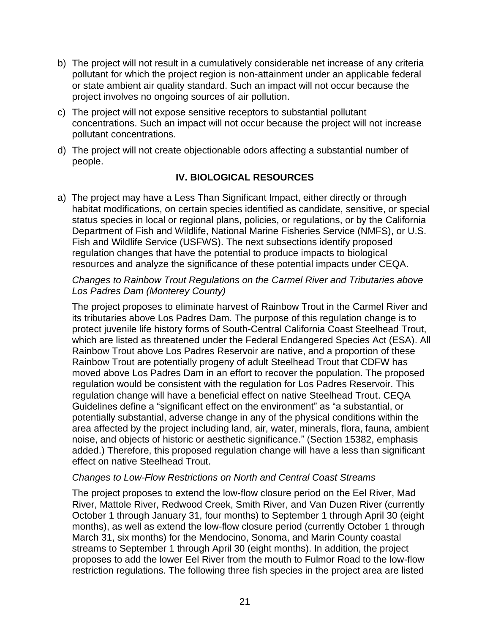- b) The project will not result in a cumulatively considerable net increase of any criteria pollutant for which the project region is non-attainment under an applicable federal or state ambient air quality standard. Such an impact will not occur because the project involves no ongoing sources of air pollution.
- c) The project will not expose sensitive receptors to substantial pollutant concentrations. Such an impact will not occur because the project will not increase pollutant concentrations.
- d) The project will not create objectionable odors affecting a substantial number of people.

## **IV. BIOLOGICAL RESOURCES**

a) The project may have a Less Than Significant Impact, either directly or through habitat modifications, on certain species identified as candidate, sensitive, or special status species in local or regional plans, policies, or regulations, or by the California Department of Fish and Wildlife, National Marine Fisheries Service (NMFS), or U.S. Fish and Wildlife Service (USFWS). The next subsections identify proposed regulation changes that have the potential to produce impacts to biological resources and analyze the significance of these potential impacts under CEQA.

#### *Changes to Rainbow Trout Regulations on the Carmel River and Tributaries above Los Padres Dam (Monterey County)*

The project proposes to eliminate harvest of Rainbow Trout in the Carmel River and its tributaries above Los Padres Dam. The purpose of this regulation change is to protect juvenile life history forms of South-Central California Coast Steelhead Trout, which are listed as threatened under the Federal Endangered Species Act (ESA). All Rainbow Trout above Los Padres Reservoir are native, and a proportion of these Rainbow Trout are potentially progeny of adult Steelhead Trout that CDFW has moved above Los Padres Dam in an effort to recover the population. The proposed regulation would be consistent with the regulation for Los Padres Reservoir. This regulation change will have a beneficial effect on native Steelhead Trout. CEQA Guidelines define a "significant effect on the environment" as "a substantial, or potentially substantial, adverse change in any of the physical conditions within the area affected by the project including land, air, water, minerals, flora, fauna, ambient noise, and objects of historic or aesthetic significance." (Section 15382, emphasis added.) Therefore, this proposed regulation change will have a less than significant effect on native Steelhead Trout.

#### *Changes to Low-Flow Restrictions on North and Central Coast Streams*

The project proposes to extend the low-flow closure period on the Eel River, Mad River, Mattole River, Redwood Creek, Smith River, and Van Duzen River (currently October 1 through January 31, four months) to September 1 through April 30 (eight months), as well as extend the low-flow closure period (currently October 1 through March 31, six months) for the Mendocino, Sonoma, and Marin County coastal streams to September 1 through April 30 (eight months). In addition, the project proposes to add the lower Eel River from the mouth to Fulmor Road to the low-flow restriction regulations. The following three fish species in the project area are listed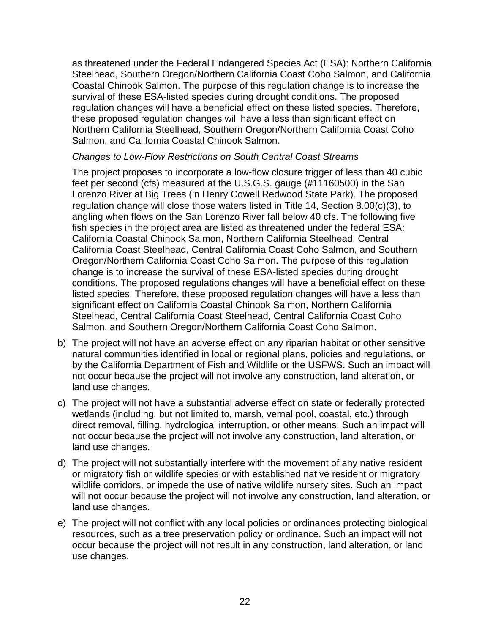as threatened under the Federal Endangered Species Act (ESA): Northern California Steelhead, Southern Oregon/Northern California Coast Coho Salmon, and California Coastal Chinook Salmon. The purpose of this regulation change is to increase the survival of these ESA-listed species during drought conditions. The proposed regulation changes will have a beneficial effect on these listed species. Therefore, these proposed regulation changes will have a less than significant effect on Northern California Steelhead, Southern Oregon/Northern California Coast Coho Salmon, and California Coastal Chinook Salmon.

#### *Changes to Low-Flow Restrictions on South Central Coast Streams*

The project proposes to incorporate a low-flow closure trigger of less than 40 cubic feet per second (cfs) measured at the U.S.G.S. gauge (#11160500) in the San Lorenzo River at Big Trees (in Henry Cowell Redwood State Park). The proposed regulation change will close those waters listed in Title 14, Section 8.00(c)(3), to angling when flows on the San Lorenzo River fall below 40 cfs. The following five fish species in the project area are listed as threatened under the federal ESA: California Coastal Chinook Salmon, Northern California Steelhead, Central California Coast Steelhead, Central California Coast Coho Salmon, and Southern Oregon/Northern California Coast Coho Salmon. The purpose of this regulation change is to increase the survival of these ESA-listed species during drought conditions. The proposed regulations changes will have a beneficial effect on these listed species. Therefore, these proposed regulation changes will have a less than significant effect on California Coastal Chinook Salmon, Northern California Steelhead, Central California Coast Steelhead, Central California Coast Coho Salmon, and Southern Oregon/Northern California Coast Coho Salmon.

- b) The project will not have an adverse effect on any riparian habitat or other sensitive natural communities identified in local or regional plans, policies and regulations, or by the California Department of Fish and Wildlife or the USFWS. Such an impact will not occur because the project will not involve any construction, land alteration, or land use changes.
- c) The project will not have a substantial adverse effect on state or federally protected wetlands (including, but not limited to, marsh, vernal pool, coastal, etc.) through direct removal, filling, hydrological interruption, or other means. Such an impact will not occur because the project will not involve any construction, land alteration, or land use changes.
- d) The project will not substantially interfere with the movement of any native resident or migratory fish or wildlife species or with established native resident or migratory wildlife corridors, or impede the use of native wildlife nursery sites. Such an impact will not occur because the project will not involve any construction, land alteration, or land use changes.
- e) The project will not conflict with any local policies or ordinances protecting biological resources, such as a tree preservation policy or ordinance. Such an impact will not occur because the project will not result in any construction, land alteration, or land use changes.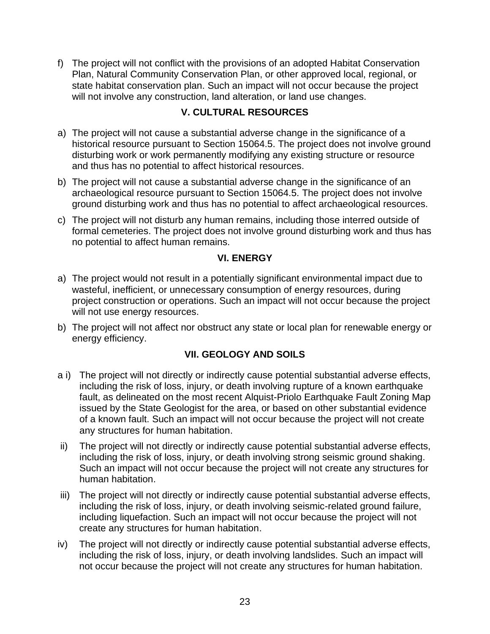f) The project will not conflict with the provisions of an adopted Habitat Conservation Plan, Natural Community Conservation Plan, or other approved local, regional, or state habitat conservation plan. Such an impact will not occur because the project will not involve any construction, land alteration, or land use changes.

# **V. CULTURAL RESOURCES**

- a) The project will not cause a substantial adverse change in the significance of a historical resource pursuant to Section 15064.5. The project does not involve ground disturbing work or work permanently modifying any existing structure or resource and thus has no potential to affect historical resources.
- b) The project will not cause a substantial adverse change in the significance of an archaeological resource pursuant to Section 15064.5. The project does not involve ground disturbing work and thus has no potential to affect archaeological resources.
- c) The project will not disturb any human remains, including those interred outside of formal cemeteries. The project does not involve ground disturbing work and thus has no potential to affect human remains.

# **VI. ENERGY**

- a) The project would not result in a potentially significant environmental impact due to wasteful, inefficient, or unnecessary consumption of energy resources, during project construction or operations. Such an impact will not occur because the project will not use energy resources.
- b) The project will not affect nor obstruct any state or local plan for renewable energy or energy efficiency.

# **VII. GEOLOGY AND SOILS**

- a i) The project will not directly or indirectly cause potential substantial adverse effects, including the risk of loss, injury, or death involving rupture of a known earthquake fault, as delineated on the most recent Alquist-Priolo Earthquake Fault Zoning Map issued by the State Geologist for the area, or based on other substantial evidence of a known fault. Such an impact will not occur because the project will not create any structures for human habitation.
- ii) The project will not directly or indirectly cause potential substantial adverse effects, including the risk of loss, injury, or death involving strong seismic ground shaking. Such an impact will not occur because the project will not create any structures for human habitation.
- iii) The project will not directly or indirectly cause potential substantial adverse effects, including the risk of loss, injury, or death involving seismic-related ground failure, including liquefaction. Such an impact will not occur because the project will not create any structures for human habitation.
- iv) The project will not directly or indirectly cause potential substantial adverse effects, including the risk of loss, injury, or death involving landslides. Such an impact will not occur because the project will not create any structures for human habitation.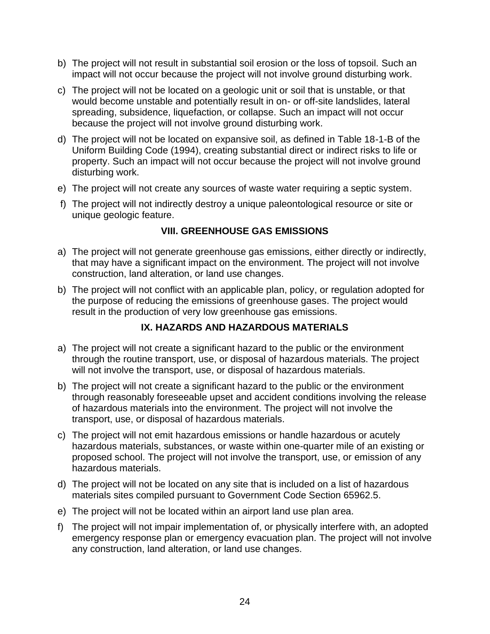- b) The project will not result in substantial soil erosion or the loss of topsoil. Such an impact will not occur because the project will not involve ground disturbing work.
- c) The project will not be located on a geologic unit or soil that is unstable, or that would become unstable and potentially result in on- or off-site landslides, lateral spreading, subsidence, liquefaction, or collapse. Such an impact will not occur because the project will not involve ground disturbing work.
- d) The project will not be located on expansive soil, as defined in Table 18-1-B of the Uniform Building Code (1994), creating substantial direct or indirect risks to life or property. Such an impact will not occur because the project will not involve ground disturbing work.
- e) The project will not create any sources of waste water requiring a septic system.
- f) The project will not indirectly destroy a unique paleontological resource or site or unique geologic feature.

## **VIII. GREENHOUSE GAS EMISSIONS**

- a) The project will not generate greenhouse gas emissions, either directly or indirectly, that may have a significant impact on the environment. The project will not involve construction, land alteration, or land use changes.
- b) The project will not conflict with an applicable plan, policy, or regulation adopted for the purpose of reducing the emissions of greenhouse gases. The project would result in the production of very low greenhouse gas emissions.

## **IX. HAZARDS AND HAZARDOUS MATERIALS**

- a) The project will not create a significant hazard to the public or the environment through the routine transport, use, or disposal of hazardous materials. The project will not involve the transport, use, or disposal of hazardous materials.
- b) The project will not create a significant hazard to the public or the environment through reasonably foreseeable upset and accident conditions involving the release of hazardous materials into the environment. The project will not involve the transport, use, or disposal of hazardous materials.
- c) The project will not emit hazardous emissions or handle hazardous or acutely hazardous materials, substances, or waste within one-quarter mile of an existing or proposed school. The project will not involve the transport, use, or emission of any hazardous materials.
- d) The project will not be located on any site that is included on a list of hazardous materials sites compiled pursuant to Government Code Section 65962.5.
- e) The project will not be located within an airport land use plan area.
- f) The project will not impair implementation of, or physically interfere with, an adopted emergency response plan or emergency evacuation plan. The project will not involve any construction, land alteration, or land use changes.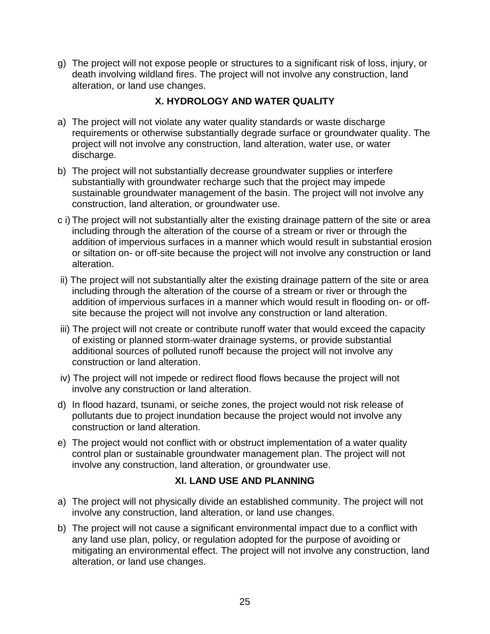g) The project will not expose people or structures to a significant risk of loss, injury, or death involving wildland fires. The project will not involve any construction, land alteration, or land use changes.

# **X. HYDROLOGY AND WATER QUALITY**

- a) The project will not violate any water quality standards or waste discharge requirements or otherwise substantially degrade surface or groundwater quality. The project will not involve any construction, land alteration, water use, or water discharge.
- b) The project will not substantially decrease groundwater supplies or interfere substantially with groundwater recharge such that the project may impede sustainable groundwater management of the basin. The project will not involve any construction, land alteration, or groundwater use.
- c i) The project will not substantially alter the existing drainage pattern of the site or area including through the alteration of the course of a stream or river or through the addition of impervious surfaces in a manner which would result in substantial erosion or siltation on- or off-site because the project will not involve any construction or land alteration.
- ii) The project will not substantially alter the existing drainage pattern of the site or area including through the alteration of the course of a stream or river or through the addition of impervious surfaces in a manner which would result in flooding on- or offsite because the project will not involve any construction or land alteration.
- iii) The project will not create or contribute runoff water that would exceed the capacity of existing or planned storm-water drainage systems, or provide substantial additional sources of polluted runoff because the project will not involve any construction or land alteration.
- iv) The project will not impede or redirect flood flows because the project will not involve any construction or land alteration.
- d) In flood hazard, tsunami, or seiche zones, the project would not risk release of pollutants due to project inundation because the project would not involve any construction or land alteration.
- e) The project would not conflict with or obstruct implementation of a water quality control plan or sustainable groundwater management plan. The project will not involve any construction, land alteration, or groundwater use.

## **XI. LAND USE AND PLANNING**

- a) The project will not physically divide an established community. The project will not involve any construction, land alteration, or land use changes.
- b) The project will not cause a significant environmental impact due to a conflict with any land use plan, policy, or regulation adopted for the purpose of avoiding or mitigating an environmental effect. The project will not involve any construction, land alteration, or land use changes.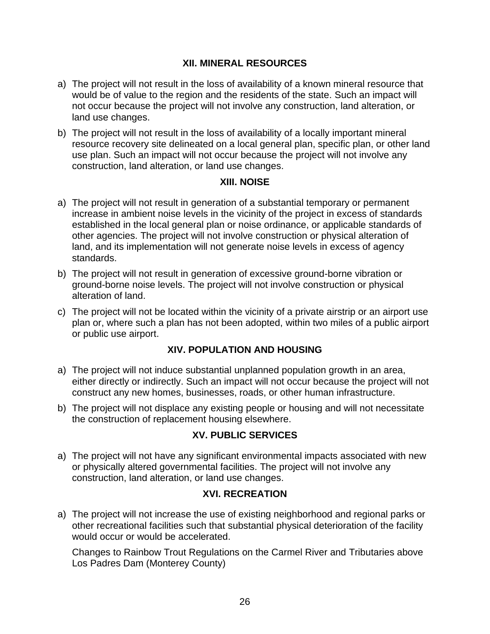## **XII. MINERAL RESOURCES**

- a) The project will not result in the loss of availability of a known mineral resource that would be of value to the region and the residents of the state. Such an impact will not occur because the project will not involve any construction, land alteration, or land use changes.
- b) The project will not result in the loss of availability of a locally important mineral resource recovery site delineated on a local general plan, specific plan, or other land use plan. Such an impact will not occur because the project will not involve any construction, land alteration, or land use changes.

#### **XIII. NOISE**

- a) The project will not result in generation of a substantial temporary or permanent increase in ambient noise levels in the vicinity of the project in excess of standards established in the local general plan or noise ordinance, or applicable standards of other agencies. The project will not involve construction or physical alteration of land, and its implementation will not generate noise levels in excess of agency standards.
- b) The project will not result in generation of excessive ground-borne vibration or ground-borne noise levels. The project will not involve construction or physical alteration of land.
- c) The project will not be located within the vicinity of a private airstrip or an airport use plan or, where such a plan has not been adopted, within two miles of a public airport or public use airport.

## **XIV. POPULATION AND HOUSING**

- a) The project will not induce substantial unplanned population growth in an area, either directly or indirectly. Such an impact will not occur because the project will not construct any new homes, businesses, roads, or other human infrastructure.
- b) The project will not displace any existing people or housing and will not necessitate the construction of replacement housing elsewhere.

## **XV. PUBLIC SERVICES**

a) The project will not have any significant environmental impacts associated with new or physically altered governmental facilities. The project will not involve any construction, land alteration, or land use changes.

#### **XVI. RECREATION**

a) The project will not increase the use of existing neighborhood and regional parks or other recreational facilities such that substantial physical deterioration of the facility would occur or would be accelerated.

Changes to Rainbow Trout Regulations on the Carmel River and Tributaries above Los Padres Dam (Monterey County)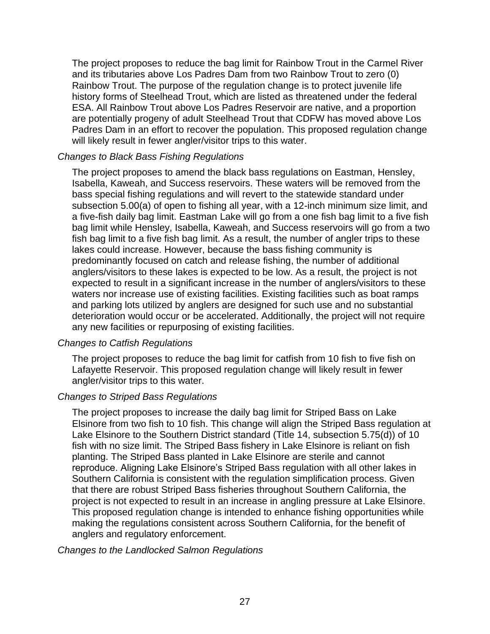The project proposes to reduce the bag limit for Rainbow Trout in the Carmel River and its tributaries above Los Padres Dam from two Rainbow Trout to zero (0) Rainbow Trout. The purpose of the regulation change is to protect juvenile life history forms of Steelhead Trout, which are listed as threatened under the federal ESA. All Rainbow Trout above Los Padres Reservoir are native, and a proportion are potentially progeny of adult Steelhead Trout that CDFW has moved above Los Padres Dam in an effort to recover the population. This proposed regulation change will likely result in fewer angler/visitor trips to this water.

#### *Changes to Black Bass Fishing Regulations*

The project proposes to amend the black bass regulations on Eastman, Hensley, Isabella, Kaweah, and Success reservoirs. These waters will be removed from the bass special fishing regulations and will revert to the statewide standard under subsection 5.00(a) of open to fishing all year, with a 12-inch minimum size limit, and a five-fish daily bag limit. Eastman Lake will go from a one fish bag limit to a five fish bag limit while Hensley, Isabella, Kaweah, and Success reservoirs will go from a two fish bag limit to a five fish bag limit. As a result, the number of angler trips to these lakes could increase. However, because the bass fishing community is predominantly focused on catch and release fishing, the number of additional anglers/visitors to these lakes is expected to be low. As a result, the project is not expected to result in a significant increase in the number of anglers/visitors to these waters nor increase use of existing facilities. Existing facilities such as boat ramps and parking lots utilized by anglers are designed for such use and no substantial deterioration would occur or be accelerated. Additionally, the project will not require any new facilities or repurposing of existing facilities.

#### *Changes to Catfish Regulations*

The project proposes to reduce the bag limit for catfish from 10 fish to five fish on Lafayette Reservoir. This proposed regulation change will likely result in fewer angler/visitor trips to this water.

#### *Changes to Striped Bass Regulations*

The project proposes to increase the daily bag limit for Striped Bass on Lake Elsinore from two fish to 10 fish. This change will align the Striped Bass regulation at Lake Elsinore to the Southern District standard (Title 14, subsection 5.75(d)) of 10 fish with no size limit. The Striped Bass fishery in Lake Elsinore is reliant on fish planting. The Striped Bass planted in Lake Elsinore are sterile and cannot reproduce. Aligning Lake Elsinore's Striped Bass regulation with all other lakes in Southern California is consistent with the regulation simplification process. Given that there are robust Striped Bass fisheries throughout Southern California, the project is not expected to result in an increase in angling pressure at Lake Elsinore. This proposed regulation change is intended to enhance fishing opportunities while making the regulations consistent across Southern California, for the benefit of anglers and regulatory enforcement.

*Changes to the Landlocked Salmon Regulations*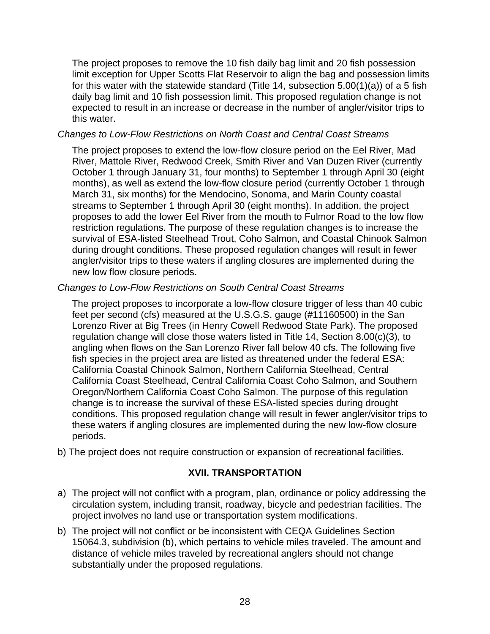The project proposes to remove the 10 fish daily bag limit and 20 fish possession limit exception for Upper Scotts Flat Reservoir to align the bag and possession limits for this water with the statewide standard (Title 14, subsection 5.00(1)(a)) of a 5 fish daily bag limit and 10 fish possession limit. This proposed regulation change is not expected to result in an increase or decrease in the number of angler/visitor trips to this water.

### *Changes to Low-Flow Restrictions on North Coast and Central Coast Streams*

The project proposes to extend the low-flow closure period on the Eel River, Mad River, Mattole River, Redwood Creek, Smith River and Van Duzen River (currently October 1 through January 31, four months) to September 1 through April 30 (eight months), as well as extend the low-flow closure period (currently October 1 through March 31, six months) for the Mendocino, Sonoma, and Marin County coastal streams to September 1 through April 30 (eight months). In addition, the project proposes to add the lower Eel River from the mouth to Fulmor Road to the low flow restriction regulations. The purpose of these regulation changes is to increase the survival of ESA-listed Steelhead Trout, Coho Salmon, and Coastal Chinook Salmon during drought conditions. These proposed regulation changes will result in fewer angler/visitor trips to these waters if angling closures are implemented during the new low flow closure periods.

#### *Changes to Low-Flow Restrictions on South Central Coast Streams*

The project proposes to incorporate a low-flow closure trigger of less than 40 cubic feet per second (cfs) measured at the U.S.G.S. gauge (#11160500) in the San Lorenzo River at Big Trees (in Henry Cowell Redwood State Park). The proposed regulation change will close those waters listed in Title 14, Section 8.00(c)(3), to angling when flows on the San Lorenzo River fall below 40 cfs. The following five fish species in the project area are listed as threatened under the federal ESA: California Coastal Chinook Salmon, Northern California Steelhead, Central California Coast Steelhead, Central California Coast Coho Salmon, and Southern Oregon/Northern California Coast Coho Salmon. The purpose of this regulation change is to increase the survival of these ESA-listed species during drought conditions. This proposed regulation change will result in fewer angler/visitor trips to these waters if angling closures are implemented during the new low-flow closure periods.

b) The project does not require construction or expansion of recreational facilities.

## **XVII. TRANSPORTATION**

- a) The project will not conflict with a program, plan, ordinance or policy addressing the circulation system, including transit, roadway, bicycle and pedestrian facilities. The project involves no land use or transportation system modifications.
- b) The project will not conflict or be inconsistent with CEQA Guidelines Section 15064.3, subdivision (b), which pertains to vehicle miles traveled. The amount and distance of vehicle miles traveled by recreational anglers should not change substantially under the proposed regulations.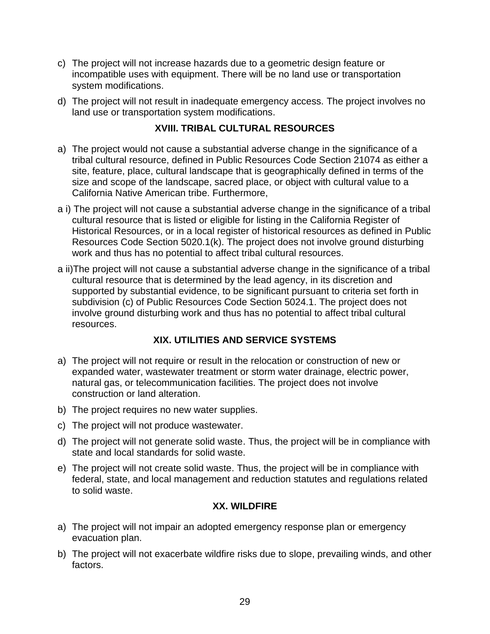- c) The project will not increase hazards due to a geometric design feature or incompatible uses with equipment. There will be no land use or transportation system modifications.
- d) The project will not result in inadequate emergency access. The project involves no land use or transportation system modifications.

## **XVIII. TRIBAL CULTURAL RESOURCES**

- a) The project would not cause a substantial adverse change in the significance of a tribal cultural resource, defined in Public Resources Code Section 21074 as either a site, feature, place, cultural landscape that is geographically defined in terms of the size and scope of the landscape, sacred place, or object with cultural value to a California Native American tribe. Furthermore,
- a i) The project will not cause a substantial adverse change in the significance of a tribal cultural resource that is listed or eligible for listing in the California Register of Historical Resources, or in a local register of historical resources as defined in Public Resources Code Section 5020.1(k). The project does not involve ground disturbing work and thus has no potential to affect tribal cultural resources.
- a ii)The project will not cause a substantial adverse change in the significance of a tribal cultural resource that is determined by the lead agency, in its discretion and supported by substantial evidence, to be significant pursuant to criteria set forth in subdivision (c) of Public Resources Code Section 5024.1. The project does not involve ground disturbing work and thus has no potential to affect tribal cultural resources.

# **XIX. UTILITIES AND SERVICE SYSTEMS**

- a) The project will not require or result in the relocation or construction of new or expanded water, wastewater treatment or storm water drainage, electric power, natural gas, or telecommunication facilities. The project does not involve construction or land alteration.
- b) The project requires no new water supplies.
- c) The project will not produce wastewater.
- d) The project will not generate solid waste. Thus, the project will be in compliance with state and local standards for solid waste.
- e) The project will not create solid waste. Thus, the project will be in compliance with federal, state, and local management and reduction statutes and regulations related to solid waste.

## **XX. WILDFIRE**

- a) The project will not impair an adopted emergency response plan or emergency evacuation plan.
- b) The project will not exacerbate wildfire risks due to slope, prevailing winds, and other factors.